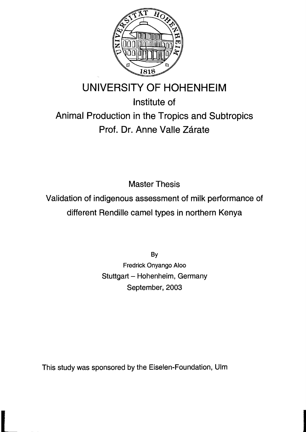

## **UNIVERSITY OF HOHENHEIM**

## Institute of Animal Production in the Tropics and Subtropics Prof. Dr. Anne Valle Zárate

Master Thesis

Validation of indigenous assessment of milk performance of different Rendille camel types in northern Kenya

> By Fredrick Onyango Aloo Stuttgart - Hohenheim, Germany September, 2003

This study was sponsored by the Eiselen-Foundation, Ulm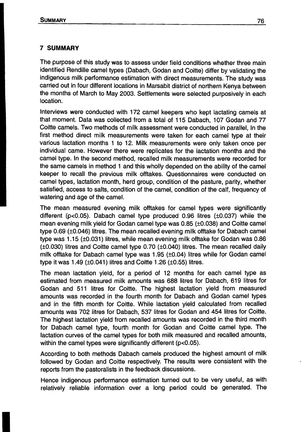## **7 SUMMARY**

The purpose of this study was to assess under field conditions whether three main identified Rendille camel types (Dabach, Godan and Coitte) differ by validating the indigenous milk performance estimation with direct measurements. The study was carried out in four different locations in Marsabit district of northern Kenya between the months of March to May 2003. Settlements were selected purposively in each location.

Interviews were conducted with 172 camel keepers who kept lactating camels at that moment. Data was collected from a total of 115 Dabach, 107 Godan and 77 Coitte camels. Two methods of milk assessment were conducted in parallel, In the first method direct milk measurements were taken for each camel type at their various lactation months 1 to 12. Milk measurements were only taken once per individual came. However there were replicates for the lactation months and the camel type. In the second method, recalled milk measurements were recorded for the same camels in method 1 and this wholly depended on the ability of the camel keeper to recall the previous milk offtakes. Questionnaires were conducted on camel types, lactation month, herd group, condition of the pasture, parity, whether satisfied, access to salts, condition of the camel, condition of the calf, frequency of watering and age of the camel.

The mean measured evening milk offtakes for camel types were significantly different (p<0.05). Dabach camel type produced 0.96 litres (±0.037) while the mean evening milk yield for Godan camel type was 0.85 (±0.038) and Coitte camel type 0.69 (±0.046) litres. The mean recalled evening milk offtake for Dabach camel type was 1.15 (±O.031) litres, while mean evening milk offtake for Godan was 0.86 (±0.030) Iitres and Coitte camel type 0.70 (±O.040) litres. The mean recalled daily milk offtake for Dabach camel type was 1.95 (±0.04) litres while for Godan camel type it was 1.49 (±O.041) litres and Coitte 1.26 (±0.55) litres.

The mean lactation yield, for a period of 12 months for each camel type as estimated from measured milk amounts was 688 li'tres for Dabach, 619 litres for Godan and 511 litres for Coitte. The highest lactation yield from measured amounts was recorded in the fourth month for Dabach and Godan camel types and in the 'fifth month for Coitte. While lactation yield calculated from recalled amounts was 702 litres for Dabach, 537 litres for Godan and 454 litres tor Coitte. The highest lactation yield trom recalled amounts was recorded in the third month tor Dabach camel type, fourth month for Godan and Coitte camel type. The lactation curves of the camel types for both milk measured and recalled amounts, within the camel types were significantly different (p<0.05).

According to both methods Dabach camels produced the highest amount of milk followed by Godan and Coitte respectively. The results were consistent with the reports from the pastoralists in the feedback discussions.

Hence indigenous performance estimation turned out to be very useful, as with relatively reliable information over a long period could be generated. The